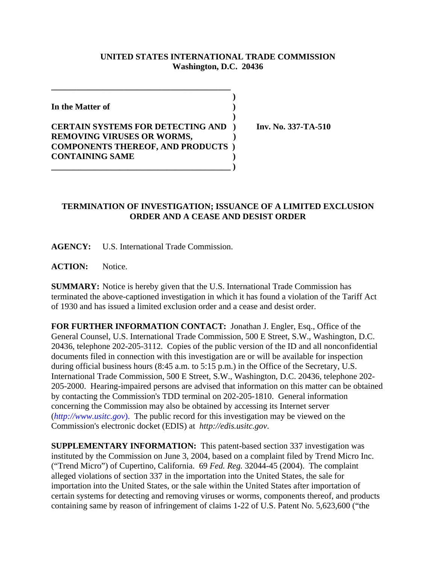## **UNITED STATES INTERNATIONAL TRADE COMMISSION Washington, D.C. 20436**

 **)**

 **)**

**In the Matter of )**

## **CERTAIN SYSTEMS FOR DETECTING AND ) Inv. No. 337-TA-510 REMOVING VIRUSES OR WORMS, ) COMPONENTS THEREOF, AND PRODUCTS ) CONTAINING SAME )**

**\_\_\_\_\_\_\_\_\_\_\_\_\_\_\_\_\_\_\_\_\_\_\_\_\_\_\_\_\_\_\_\_\_\_\_\_\_\_\_\_\_\_ )**

**\_\_\_\_\_\_\_\_\_\_\_\_\_\_\_\_\_\_\_\_\_\_\_\_\_\_\_\_\_\_\_\_\_\_\_\_\_\_\_\_\_\_**

## **TERMINATION OF INVESTIGATION; ISSUANCE OF A LIMITED EXCLUSION ORDER AND A CEASE AND DESIST ORDER**

**AGENCY:** U.S. International Trade Commission.

**ACTION:** Notice.

**SUMMARY:** Notice is hereby given that the U.S. International Trade Commission has terminated the above-captioned investigation in which it has found a violation of the Tariff Act of 1930 and has issued a limited exclusion order and a cease and desist order.

**FOR FURTHER INFORMATION CONTACT:** Jonathan J. Engler, Esq., Office of the General Counsel, U.S. International Trade Commission, 500 E Street, S.W., Washington, D.C. 20436, telephone 202-205-3112. Copies of the public version of the ID and all nonconfidential documents filed in connection with this investigation are or will be available for inspection during official business hours (8:45 a.m. to 5:15 p.m.) in the Office of the Secretary, U.S. International Trade Commission, 500 E Street, S.W., Washington, D.C. 20436, telephone 202- 205-2000. Hearing-impaired persons are advised that information on this matter can be obtained by contacting the Commission's TDD terminal on 202-205-1810. General information concerning the Commission may also be obtained by accessing its Internet server (*http://www.usitc.gov*). The public record for this investigation may be viewed on the Commission's electronic docket (EDIS) at *http://edis.usitc.gov*.

**SUPPLEMENTARY INFORMATION:** This patent-based section 337 investigation was instituted by the Commission on June 3, 2004, based on a complaint filed by Trend Micro Inc. ("Trend Micro") of Cupertino, California. 69 *Fed. Reg.* 32044-45 (2004). The complaint alleged violations of section 337 in the importation into the United States, the sale for importation into the United States, or the sale within the United States after importation of certain systems for detecting and removing viruses or worms, components thereof, and products containing same by reason of infringement of claims 1-22 of U.S. Patent No. 5,623,600 ("the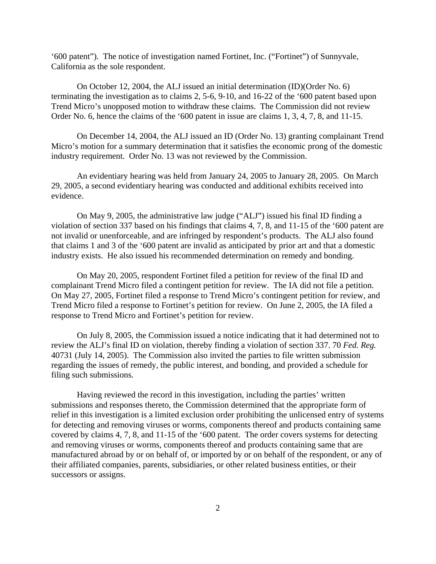'600 patent"). The notice of investigation named Fortinet, Inc. ("Fortinet") of Sunnyvale, California as the sole respondent.

On October 12, 2004, the ALJ issued an initial determination (ID)(Order No. 6) terminating the investigation as to claims 2, 5-6, 9-10, and 16-22 of the '600 patent based upon Trend Micro's unopposed motion to withdraw these claims. The Commission did not review Order No. 6, hence the claims of the '600 patent in issue are claims 1, 3, 4, 7, 8, and 11-15.

On December 14, 2004, the ALJ issued an ID (Order No. 13) granting complainant Trend Micro's motion for a summary determination that it satisfies the economic prong of the domestic industry requirement. Order No. 13 was not reviewed by the Commission.

An evidentiary hearing was held from January 24, 2005 to January 28, 2005. On March 29, 2005, a second evidentiary hearing was conducted and additional exhibits received into evidence.

On May 9, 2005, the administrative law judge ("ALJ") issued his final ID finding a violation of section 337 based on his findings that claims 4, 7, 8, and 11-15 of the '600 patent are not invalid or unenforceable, and are infringed by respondent's products. The ALJ also found that claims 1 and 3 of the '600 patent are invalid as anticipated by prior art and that a domestic industry exists. He also issued his recommended determination on remedy and bonding.

On May 20, 2005, respondent Fortinet filed a petition for review of the final ID and complainant Trend Micro filed a contingent petition for review. The IA did not file a petition. On May 27, 2005, Fortinet filed a response to Trend Micro's contingent petition for review, and Trend Micro filed a response to Fortinet's petition for review. On June 2, 2005, the IA filed a response to Trend Micro and Fortinet's petition for review.

On July 8, 2005, the Commission issued a notice indicating that it had determined not to review the ALJ's final ID on violation, thereby finding a violation of section 337. 70 *Fed. Reg.* 40731 (July 14, 2005). The Commission also invited the parties to file written submission regarding the issues of remedy, the public interest, and bonding, and provided a schedule for filing such submissions.

Having reviewed the record in this investigation, including the parties' written submissions and responses thereto, the Commission determined that the appropriate form of relief in this investigation is a limited exclusion order prohibiting the unlicensed entry of systems for detecting and removing viruses or worms, components thereof and products containing same covered by claims 4, 7, 8, and 11-15 of the '600 patent. The order covers systems for detecting and removing viruses or worms, components thereof and products containing same that are manufactured abroad by or on behalf of, or imported by or on behalf of the respondent, or any of their affiliated companies, parents, subsidiaries, or other related business entities, or their successors or assigns.